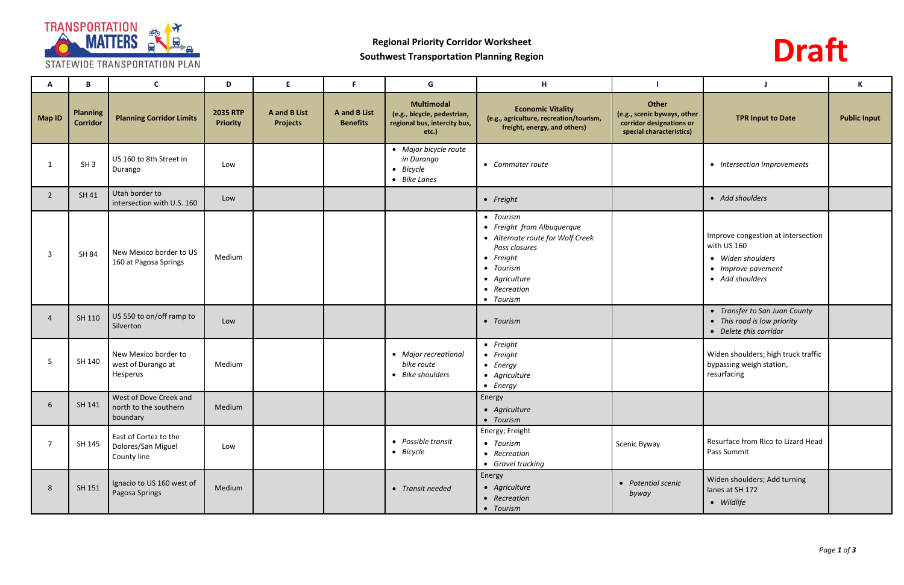

# **Regional Priority Corridor Worksheet Southwest Transportation Planning Region**



| A              | B                                  | $\mathsf{C}$                                                | D                                  | E                                             | F.                                            | G                                                                                         | H                                                                                                                                                                            |                                                                                              | J                                                                                                               | $\,$ K              |
|----------------|------------------------------------|-------------------------------------------------------------|------------------------------------|-----------------------------------------------|-----------------------------------------------|-------------------------------------------------------------------------------------------|------------------------------------------------------------------------------------------------------------------------------------------------------------------------------|----------------------------------------------------------------------------------------------|-----------------------------------------------------------------------------------------------------------------|---------------------|
| Map ID         | <b>Planning</b><br><b>Corridor</b> | <b>Planning Corridor Limits</b>                             | <b>2035 RTP</b><br><b>Priority</b> | <b>A</b> and <b>B</b> List<br><b>Projects</b> | <b>A</b> and <b>B</b> List<br><b>Benefits</b> | <b>Multimodal</b><br>(e.g., bicycle, pedestrian,<br>regional bus, intercity bus,<br>etc.) | <b>Economic Vitality</b><br>(e.g., agriculture, recreation/tourism,<br>freight, energy, and others)                                                                          | Other<br>(e.g., scenic byways, other<br>corridor designations or<br>special characteristics) | <b>TPR Input to Date</b>                                                                                        | <b>Public Input</b> |
| - 1            | SH <sub>3</sub>                    | US 160 to 8th Street in<br>Durango                          | Low                                |                                               |                                               | • Major bicycle route<br>in Durango<br>• Bicycle<br>• Bike Lanes                          | • Commuter route                                                                                                                                                             |                                                                                              | • Intersection Improvements                                                                                     |                     |
| $\overline{2}$ | SH 41                              | Utah border to<br>intersection with U.S. 160                | Low                                |                                               |                                               |                                                                                           | • Freight                                                                                                                                                                    |                                                                                              | • Add shoulders                                                                                                 |                     |
| 3              | <b>SH 84</b>                       | New Mexico border to US<br>160 at Pagosa Springs            | Medium                             |                                               |                                               |                                                                                           | • Tourism<br>• Freight from Albuquerque<br>• Alternate route for Wolf Creek<br>Pass closures<br>$\bullet$ Freight<br>• Tourism<br>• Agriculture<br>• Recreation<br>• Tourism |                                                                                              | Improve congestion at intersection<br>with US 160<br>• Widen shoulders<br>• Improve pavement<br>• Add shoulders |                     |
| $\overline{4}$ | SH 110                             | US 550 to on/off ramp to<br>Silverton                       | Low                                |                                               |                                               |                                                                                           | • Tourism                                                                                                                                                                    |                                                                                              | • Transfer to San Juan County<br>• This road is low priority<br>• Delete this corridor                          |                     |
| 5              | SH 140                             | New Mexico border to<br>west of Durango at<br>Hesperus      | Medium                             |                                               |                                               | • Major recreational<br>bike route<br>• Bike shoulders                                    | $\bullet$ Freight<br>$\bullet$ Freight<br>$\bullet$ Energy<br>• Agriculture<br>$\bullet$ Energy                                                                              |                                                                                              | Widen shoulders; high truck traffic<br>bypassing weigh station,<br>resurfacing                                  |                     |
| 6              | SH 141                             | West of Dove Creek and<br>north to the southern<br>boundary | Medium                             |                                               |                                               |                                                                                           | Energy<br>• Agriculture<br>• Tourism                                                                                                                                         |                                                                                              |                                                                                                                 |                     |
| $\overline{7}$ | SH 145                             | East of Cortez to the<br>Dolores/San Miguel<br>County line  | Low                                |                                               |                                               | • Possible transit<br>$\bullet$ Bicycle                                                   | Energy; Freight<br>• Tourism<br>• Recreation<br>• Gravel trucking                                                                                                            | Scenic Byway                                                                                 | Resurface from Rico to Lizard Head<br>Pass Summit                                                               |                     |
| 8              | SH 151                             | Ignacio to US 160 west of<br>Pagosa Springs                 | Medium                             |                                               |                                               | • Transit needed                                                                          | Energy<br>• Agriculture<br>• Recreation<br>• Tourism                                                                                                                         | • Potential scenic<br>byway                                                                  | Widen shoulders; Add turning<br>lanes at SH 172<br>· Wildlife                                                   |                     |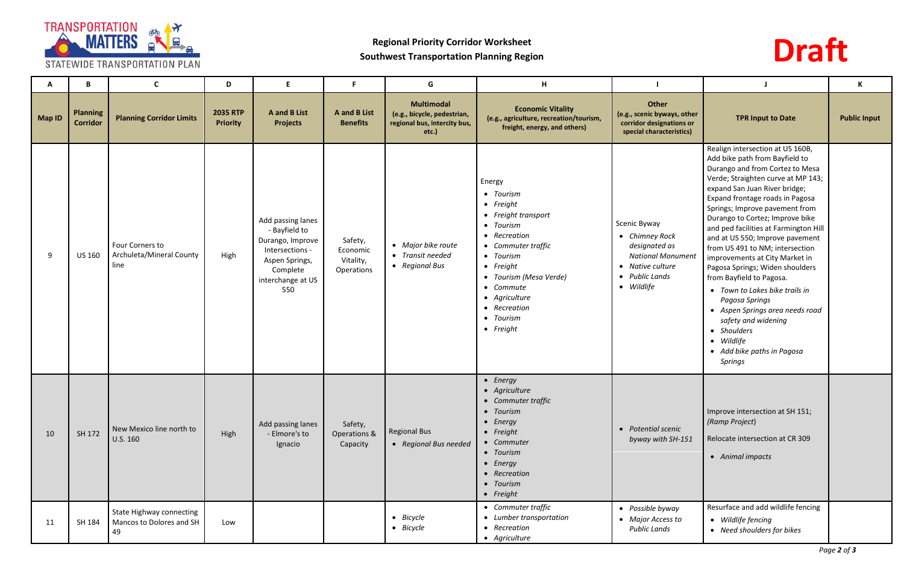

### STATEWIDE TRANSPORTATION PLAN

# **Regional Priority Corridor Worksheet Southwest Transportation Planning Region**

# **Draft**

| A             | B                                  | $\mathsf{C}$                                               | D                                  | E                                                                                                                                   | F.                                             | G                                                                                         | H                                                                                                                                                                                                                                                              |                                                                                                                                 |                                                                                                                                                                                                                                                                                                                                                                                                                                                                                                                                                                                                                                                                                          | K                   |
|---------------|------------------------------------|------------------------------------------------------------|------------------------------------|-------------------------------------------------------------------------------------------------------------------------------------|------------------------------------------------|-------------------------------------------------------------------------------------------|----------------------------------------------------------------------------------------------------------------------------------------------------------------------------------------------------------------------------------------------------------------|---------------------------------------------------------------------------------------------------------------------------------|------------------------------------------------------------------------------------------------------------------------------------------------------------------------------------------------------------------------------------------------------------------------------------------------------------------------------------------------------------------------------------------------------------------------------------------------------------------------------------------------------------------------------------------------------------------------------------------------------------------------------------------------------------------------------------------|---------------------|
| <b>Map ID</b> | <b>Planning</b><br><b>Corridor</b> | <b>Planning Corridor Limits</b>                            | <b>2035 RTP</b><br><b>Priority</b> | <b>A</b> and <b>B</b> List<br><b>Projects</b>                                                                                       | <b>A</b> and <b>B</b> List<br><b>Benefits</b>  | <b>Multimodal</b><br>(e.g., bicycle, pedestrian,<br>regional bus, intercity bus,<br>etc.) | <b>Economic Vitality</b><br>(e.g., agriculture, recreation/tourism,<br>freight, energy, and others)                                                                                                                                                            | Other<br>(e.g., scenic byways, other<br>corridor designations or<br>special characteristics)                                    | <b>TPR Input to Date</b>                                                                                                                                                                                                                                                                                                                                                                                                                                                                                                                                                                                                                                                                 | <b>Public Input</b> |
| 9             | <b>US 160</b>                      | Four Corners to<br>Archuleta/Mineral County<br>line        | High                               | Add passing lanes<br>- Bayfield to<br>Durango, Improve<br>Intersections -<br>Aspen Springs,<br>Complete<br>interchange at US<br>550 | Safety,<br>Economic<br>Vitality,<br>Operations | • Major bike route<br>• Transit needed<br>• Regional Bus                                  | Energy<br>• Tourism<br>$\bullet$ Freight<br>• Freight transport<br>• Tourism<br>• Recreation<br>• Commuter traffic<br>• Tourism<br>$\bullet$ Freight<br>• Tourism (Mesa Verde)<br>• Commute<br>• Agriculture<br>• Recreation<br>• Tourism<br>$\bullet$ Freight | Scenic Byway<br>• Chimney Rock<br>designated as<br><b>National Monument</b><br>• Native culture<br>• Public Lands<br>• Wildlife | Realign intersection at US 160B,<br>Add bike path from Bayfield to<br>Durango and from Cortez to Mesa<br>Verde; Straighten curve at MP 143;<br>expand San Juan River bridge;<br>Expand frontage roads in Pagosa<br>Springs; Improve pavement from<br>Durango to Cortez; Improve bike<br>and ped facilities at Farmington Hill<br>and at US 550; Improve pavement<br>from US 491 to NM; intersection<br>improvements at City Market in<br>Pagosa Springs; Widen shoulders<br>from Bayfield to Pagosa.<br>• Town to Lakes bike trails in<br>Pagosa Springs<br>• Aspen Springs area needs road<br>safety and widening<br>• Shoulders<br>• Wildlife<br>• Add bike paths in Pagosa<br>Springs |                     |
| 10            | SH 172                             | New Mexico line north to<br>U.S. 160                       | High                               | Add passing lanes<br>- Elmore's to<br>Ignacio                                                                                       | Safety,<br>Operations &<br>Capacity            | <b>Regional Bus</b><br>• Regional Bus needed                                              | • Energy<br>• Agriculture<br>• Commuter traffic<br>• Tourism<br>$\bullet$ Energy<br>• Freight<br>• Commuter<br>• Tourism<br>$\bullet$ Energy<br>• Recreation<br>• Tourism<br>• Freight                                                                         | • Potential scenic<br>byway with SH-151                                                                                         | Improve intersection at SH 151;<br>(Ramp Project)<br>Relocate intersection at CR 309<br>• Animal impacts                                                                                                                                                                                                                                                                                                                                                                                                                                                                                                                                                                                 |                     |
| 11            | SH 184                             | State Highway connecting<br>Mancos to Dolores and SH<br>49 | Low                                |                                                                                                                                     |                                                | • Bicycle<br>• Bicycle                                                                    | • Commuter traffic<br>• Lumber transportation<br>• Recreation<br>• Agriculture                                                                                                                                                                                 | • Possible byway<br>• Major Access to<br><b>Public Lands</b>                                                                    | Resurface and add wildlife fencing<br>• Wildlife fencing<br>• Need shoulders for bikes                                                                                                                                                                                                                                                                                                                                                                                                                                                                                                                                                                                                   |                     |